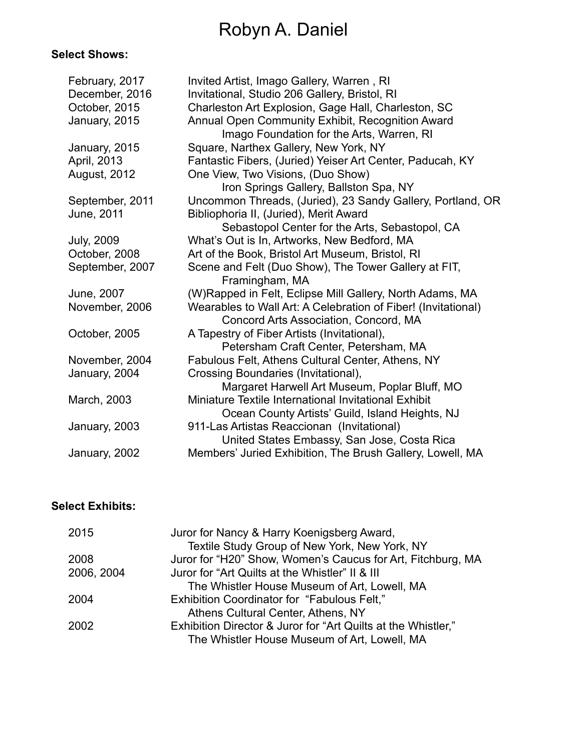# Robyn A. Daniel

# **Select Shows:**

| February, 2017      | Invited Artist, Imago Gallery, Warren, RI                     |
|---------------------|---------------------------------------------------------------|
| December, 2016      | Invitational, Studio 206 Gallery, Bristol, RI                 |
| October, 2015       | Charleston Art Explosion, Gage Hall, Charleston, SC           |
| January, 2015       | Annual Open Community Exhibit, Recognition Award              |
|                     | Imago Foundation for the Arts, Warren, RI                     |
| January, 2015       | Square, Narthex Gallery, New York, NY                         |
| April, 2013         | Fantastic Fibers, (Juried) Yeiser Art Center, Paducah, KY     |
| <b>August, 2012</b> | One View, Two Visions, (Duo Show)                             |
|                     | Iron Springs Gallery, Ballston Spa, NY                        |
| September, 2011     | Uncommon Threads, (Juried), 23 Sandy Gallery, Portland, OR    |
| June, 2011          | Bibliophoria II, (Juried), Merit Award                        |
|                     | Sebastopol Center for the Arts, Sebastopol, CA                |
| <b>July, 2009</b>   | What's Out is In, Artworks, New Bedford, MA                   |
| October, 2008       | Art of the Book, Bristol Art Museum, Bristol, RI              |
| September, 2007     | Scene and Felt (Duo Show), The Tower Gallery at FIT,          |
|                     | Framingham, MA                                                |
| June, 2007          | (W)Rapped in Felt, Eclipse Mill Gallery, North Adams, MA      |
| November, 2006      | Wearables to Wall Art: A Celebration of Fiber! (Invitational) |
|                     | Concord Arts Association, Concord, MA                         |
| October, 2005       | A Tapestry of Fiber Artists (Invitational),                   |
|                     | Petersham Craft Center, Petersham, MA                         |
| November, 2004      | Fabulous Felt, Athens Cultural Center, Athens, NY             |
| January, 2004       | Crossing Boundaries (Invitational),                           |
|                     | Margaret Harwell Art Museum, Poplar Bluff, MO                 |
| March, 2003         | Miniature Textile International Invitational Exhibit          |
|                     | Ocean County Artists' Guild, Island Heights, NJ               |
| January, 2003       | 911-Las Artistas Reaccionan (Invitational)                    |
|                     | United States Embassy, San Jose, Costa Rica                   |
| January, 2002       | Members' Juried Exhibition, The Brush Gallery, Lowell, MA     |
|                     |                                                               |

# **Select Exhibits:**

| 2015       | Juror for Nancy & Harry Koenigsberg Award,                    |
|------------|---------------------------------------------------------------|
|            | Textile Study Group of New York, New York, NY                 |
| 2008       | Juror for "H20" Show, Women's Caucus for Art, Fitchburg, MA   |
| 2006, 2004 | Juror for "Art Quilts at the Whistler" II & III               |
|            | The Whistler House Museum of Art, Lowell, MA                  |
| 2004       | Exhibition Coordinator for "Fabulous Felt,"                   |
|            | Athens Cultural Center, Athens, NY                            |
| 2002       | Exhibition Director & Juror for "Art Quilts at the Whistler," |
|            | The Whistler House Museum of Art, Lowell, MA                  |